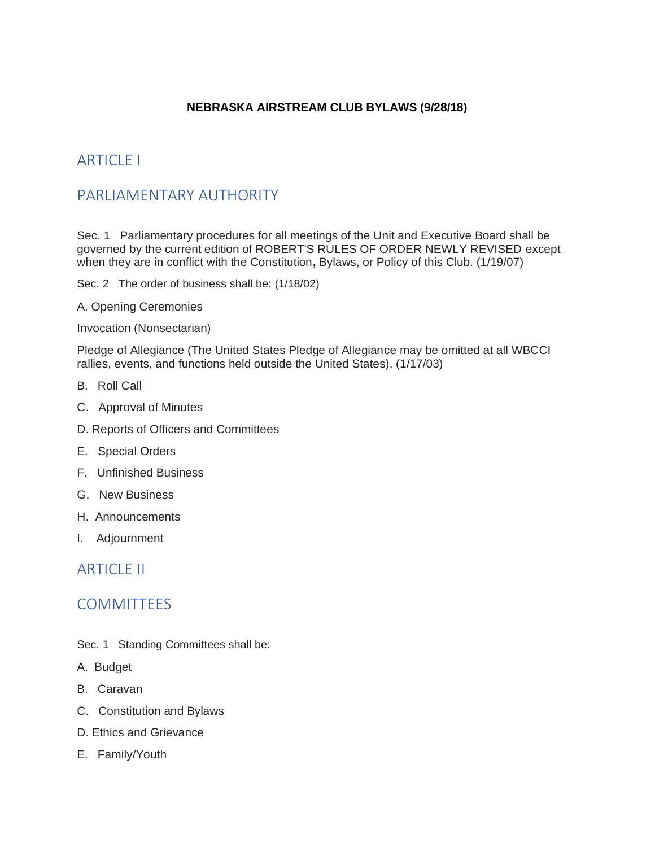#### **NEBRASKA AIRSTREAM CLUB BYLAWS (9/28/18)**

# **ARTICLE I**

# PARLIAMENTARY AUTHORITY

Sec. 1 Parliamentary procedures for all meetings of the Unit and Executive Board shall be governed by the current edition of ROBERT'S RULES OF ORDER NEWLY REVISED except when they are in conflict with the Constitution, Bylaws, or Policy of this Club. (1/19/07)

Sec. 2 The order of business shall be: (1/18/02)

A. Opening Ceremonies

Invocation (Nonsectarian)

Pledge of Allegiance (The United States Pledge of Allegiance may be omitted at all WBCCI rallies, events, and functions held outside the United States). (1/17/03)

- B. Roll Call
- C. Approval of Minutes
- D. Reports of Officers and Committees
- E. Special Orders
- F. Unfinished Business
- G. New Business
- H. Announcements
- I. Adjournment

### **ARTICLE II**

### **COMMITTEES**

- Sec. 1 Standing Committees shall be:
- A. Budget
- B. Caravan
- C. Constitution and Bylaws
- D. Ethics and Grievance
- E. Family/Youth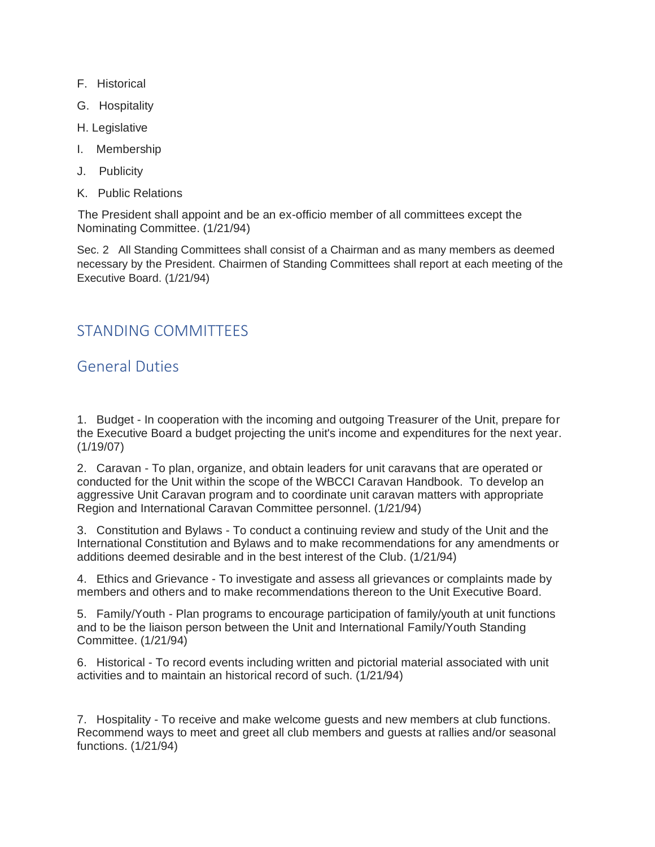- F. Historical
- G. Hospitality
- H. Legislative
- I. Membership
- J. Publicity
- K. Public Relations

The President shall appoint and be an ex-officio member of all committees except the Nominating Committee. (1/21/94)

Sec. 2 All Standing Committees shall consist of a Chairman and as many members as deemed necessary by the President. Chairmen of Standing Committees shall report at each meeting of the Executive Board. (1/21/94)

# STANDING COMMITTEES

# General Duties

1. Budget - In cooperation with the incoming and outgoing Treasurer of the Unit, prepare for the Executive Board a budget projecting the unit's income and expenditures for the next year. (1/19/07)

2. Caravan - To plan, organize, and obtain leaders for unit caravans that are operated or conducted for the Unit within the scope of the WBCCI Caravan Handbook. To develop an aggressive Unit Caravan program and to coordinate unit caravan matters with appropriate Region and International Caravan Committee personnel. (1/21/94)

3. Constitution and Bylaws - To conduct a continuing review and study of the Unit and the International Constitution and Bylaws and to make recommendations for any amendments or additions deemed desirable and in the best interest of the Club. (1/21/94)

4. Ethics and Grievance - To investigate and assess all grievances or complaints made by members and others and to make recommendations thereon to the Unit Executive Board.

5. Family/Youth - Plan programs to encourage participation of family/youth at unit functions and to be the liaison person between the Unit and International Family/Youth Standing Committee. (1/21/94)

6. Historical - To record events including written and pictorial material associated with unit activities and to maintain an historical record of such. (1/21/94)

7. Hospitality - To receive and make welcome guests and new members at club functions. Recommend ways to meet and greet all club members and guests at rallies and/or seasonal functions. (1/21/94)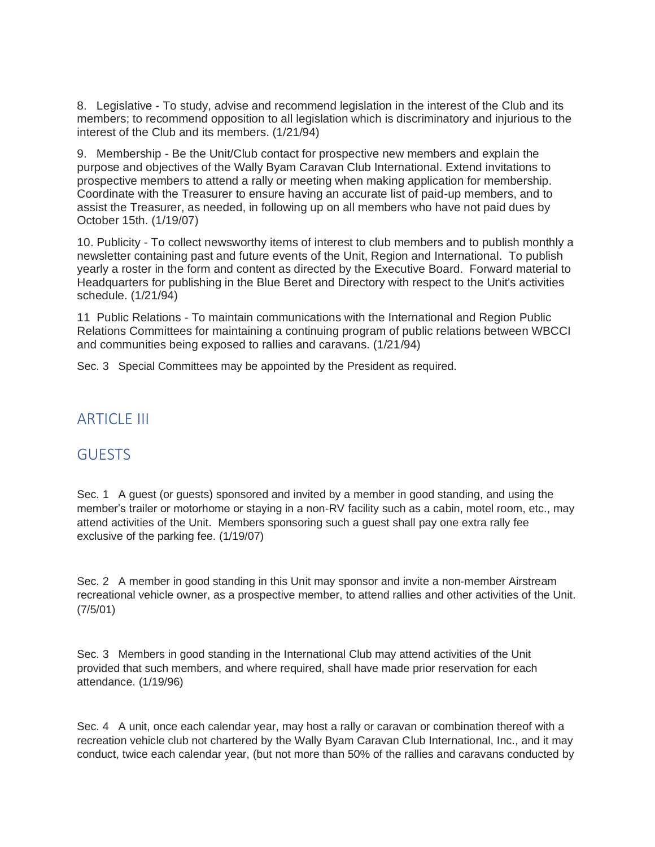8. Legislative - To study, advise and recommend legislation in the interest of the Club and its members; to recommend opposition to all legislation which is discriminatory and injurious to the interest of the Club and its members. (1/21/94)

9. Membership - Be the Unit/Club contact for prospective new members and explain the purpose and objectives of the Wally Byam Caravan Club International. Extend invitations to prospective members to attend a rally or meeting when making application for membership. Coordinate with the Treasurer to ensure having an accurate list of paid-up members, and to assist the Treasurer, as needed, in following up on all members who have not paid dues by October 15th. (1/19/07)

10. Publicity - To collect newsworthy items of interest to club members and to publish monthly a newsletter containing past and future events of the Unit, Region and International. To publish yearly a roster in the form and content as directed by the Executive Board. Forward material to Headquarters for publishing in the Blue Beret and Directory with respect to the Unit's activities schedule. (1/21/94)

11 Public Relations - To maintain communications with the International and Region Public Relations Committees for maintaining a continuing program of public relations between WBCCI and communities being exposed to rallies and caravans. (1/21/94)

Sec. 3 Special Committees may be appointed by the President as required.

### **ARTICLE III**

# **GUESTS**

Sec. 1 A guest (or guests) sponsored and invited by a member in good standing, and using the member's trailer or motorhome or staying in a non-RV facility such as a cabin, motel room, etc., may attend activities of the Unit. Members sponsoring such a guest shall pay one extra rally fee exclusive of the parking fee. (1/19/07)

Sec. 2 A member in good standing in this Unit may sponsor and invite a non-member Airstream recreational vehicle owner, as a prospective member, to attend rallies and other activities of the Unit. (7/5/01)

Sec. 3 Members in good standing in the International Club may attend activities of the Unit provided that such members, and where required, shall have made prior reservation for each attendance. (1/19/96)

Sec. 4 A unit, once each calendar year, may host a rally or caravan or combination thereof with a recreation vehicle club not chartered by the Wally Byam Caravan Club International, Inc., and it may conduct, twice each calendar year, (but not more than 50% of the rallies and caravans conducted by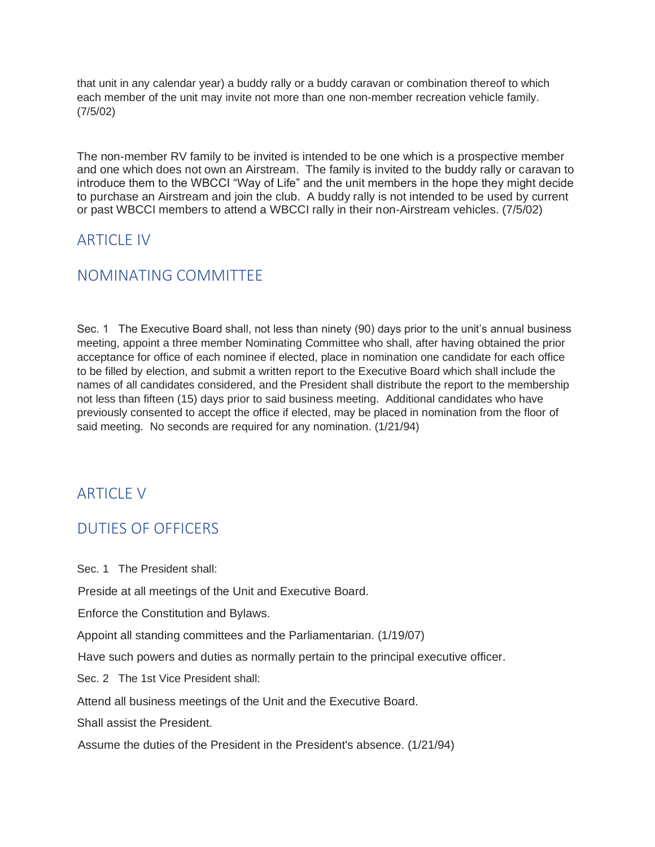that unit in any calendar year) a buddy rally or a buddy caravan or combination thereof to which each member of the unit may invite not more than one non-member recreation vehicle family. (7/5/02)

The non-member RV family to be invited is intended to be one which is a prospective member and one which does not own an Airstream. The family is invited to the buddy rally or caravan to introduce them to the WBCCI "Way of Life" and the unit members in the hope they might decide to purchase an Airstream and join the club. A buddy rally is not intended to be used by current or past WBCCI members to attend a WBCCI rally in their non-Airstream vehicles. (7/5/02)

# **ARTICLE IV**

# NOMINATING COMMITTEE

Sec. 1 The Executive Board shall, not less than ninety (90) days prior to the unit's annual business meeting, appoint a three member Nominating Committee who shall, after having obtained the prior acceptance for office of each nominee if elected, place in nomination one candidate for each office to be filled by election, and submit a written report to the Executive Board which shall include the names of all candidates considered, and the President shall distribute the report to the membership not less than fifteen (15) days prior to said business meeting. Additional candidates who have previously consented to accept the office if elected, may be placed in nomination from the floor of said meeting. No seconds are required for any nomination. (1/21/94)

# **ARTICLE V**

# DUTIES OF OFFICERS

Sec. 1 The President shall:

Preside at all meetings of the Unit and Executive Board.

Enforce the Constitution and Bylaws.

Appoint all standing committees and the Parliamentarian. (1/19/07)

Have such powers and duties as normally pertain to the principal executive officer.

Sec. 2 The 1st Vice President shall:

Attend all business meetings of the Unit and the Executive Board.

Shall assist the President.

Assume the duties of the President in the President's absence. (1/21/94)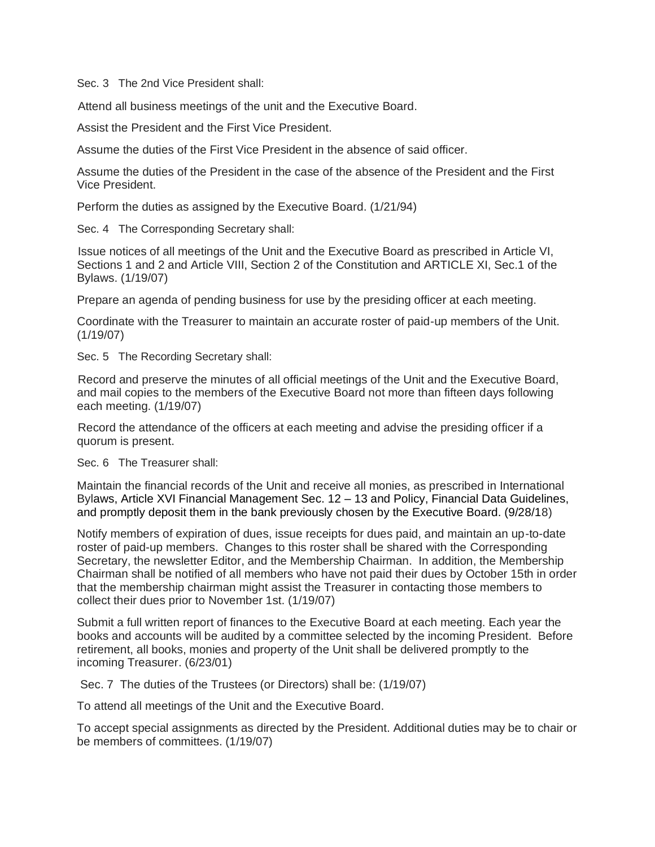Sec. 3 The 2nd Vice President shall:

Attend all business meetings of the unit and the Executive Board.

Assist the President and the First Vice President.

Assume the duties of the First Vice President in the absence of said officer.

Assume the duties of the President in the case of the absence of the President and the First Vice President.

Perform the duties as assigned by the Executive Board. (1/21/94)

Sec. 4 The Corresponding Secretary shall:

Issue notices of all meetings of the Unit and the Executive Board as prescribed in Article VI, Sections 1 and 2 and Article VIII, Section 2 of the Constitution and ARTICLE XI, Sec.1 of the Bylaws. (1/19/07)

Prepare an agenda of pending business for use by the presiding officer at each meeting.

Coordinate with the Treasurer to maintain an accurate roster of paid-up members of the Unit. (1/19/07)

Sec. 5 The Recording Secretary shall:

Record and preserve the minutes of all official meetings of the Unit and the Executive Board, and mail copies to the members of the Executive Board not more than fifteen days following each meeting. (1/19/07)

Record the attendance of the officers at each meeting and advise the presiding officer if a quorum is present.

Sec. 6 The Treasurer shall:

Maintain the financial records of the Unit and receive all monies, as prescribed in International Bylaws, Article XVI Financial Management Sec. 12 – 13 and Policy, Financial Data Guidelines, and promptly deposit them in the bank previously chosen by the Executive Board. (9/28/18)

Notify members of expiration of dues, issue receipts for dues paid, and maintain an up-to-date roster of paid-up members. Changes to this roster shall be shared with the Corresponding Secretary, the newsletter Editor, and the Membership Chairman. In addition, the Membership Chairman shall be notified of all members who have not paid their dues by October 15th in order that the membership chairman might assist the Treasurer in contacting those members to collect their dues prior to November 1st. (1/19/07)

Submit a full written report of finances to the Executive Board at each meeting. Each year the books and accounts will be audited by a committee selected by the incoming President. Before retirement, all books, monies and property of the Unit shall be delivered promptly to the incoming Treasurer. (6/23/01)

Sec. 7 The duties of the Trustees (or Directors) shall be: (1/19/07)

To attend all meetings of the Unit and the Executive Board.

To accept special assignments as directed by the President. Additional duties may be to chair or be members of committees. (1/19/07)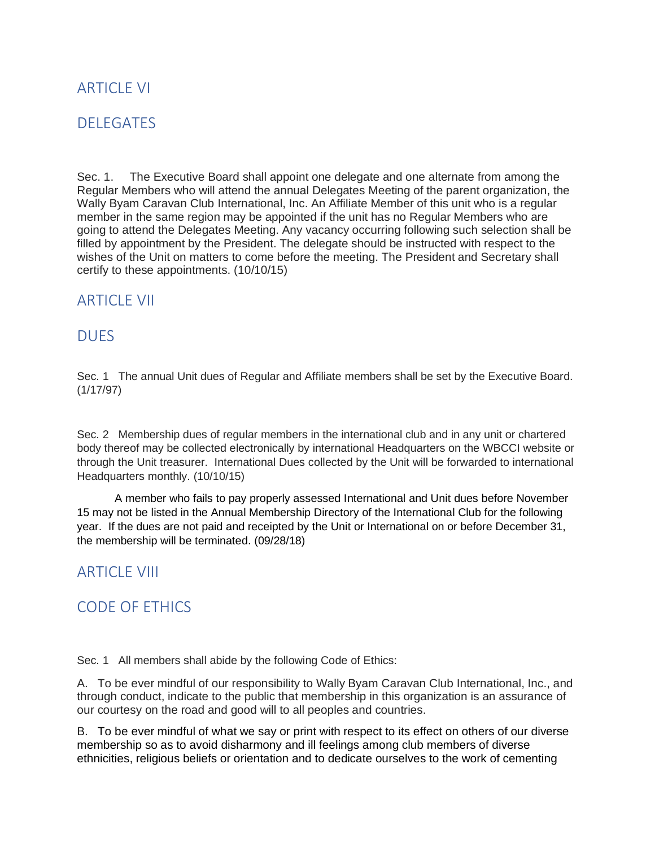## **ARTICLE VI**

## DELEGATES

Sec. 1. The Executive Board shall appoint one delegate and one alternate from among the Regular Members who will attend the annual Delegates Meeting of the parent organization, the Wally Byam Caravan Club International, Inc. An Affiliate Member of this unit who is a regular member in the same region may be appointed if the unit has no Regular Members who are going to attend the Delegates Meeting. Any vacancy occurring following such selection shall be filled by appointment by the President. The delegate should be instructed with respect to the wishes of the Unit on matters to come before the meeting. The President and Secretary shall certify to these appointments. (10/10/15)

#### **ARTICLE VII**

### **DUFS**

Sec. 1 The annual Unit dues of Regular and Affiliate members shall be set by the Executive Board. (1/17/97)

Sec. 2 Membership dues of regular members in the international club and in any unit or chartered body thereof may be collected electronically by international Headquarters on the WBCCI website or through the Unit treasurer. International Dues collected by the Unit will be forwarded to international Headquarters monthly. (10/10/15)

 A member who fails to pay properly assessed International and Unit dues before November 15 may not be listed in the Annual Membership Directory of the International Club for the following year. If the dues are not paid and receipted by the Unit or International on or before December 31, the membership will be terminated. (09/28/18)

### ARTICLE VIII

# CODE OF ETHICS

Sec. 1 All members shall abide by the following Code of Ethics:

A. To be ever mindful of our responsibility to Wally Byam Caravan Club International, Inc., and through conduct, indicate to the public that membership in this organization is an assurance of our courtesy on the road and good will to all peoples and countries.

B. To be ever mindful of what we say or print with respect to its effect on others of our diverse membership so as to avoid disharmony and ill feelings among club members of diverse ethnicities, religious beliefs or orientation and to dedicate ourselves to the work of cementing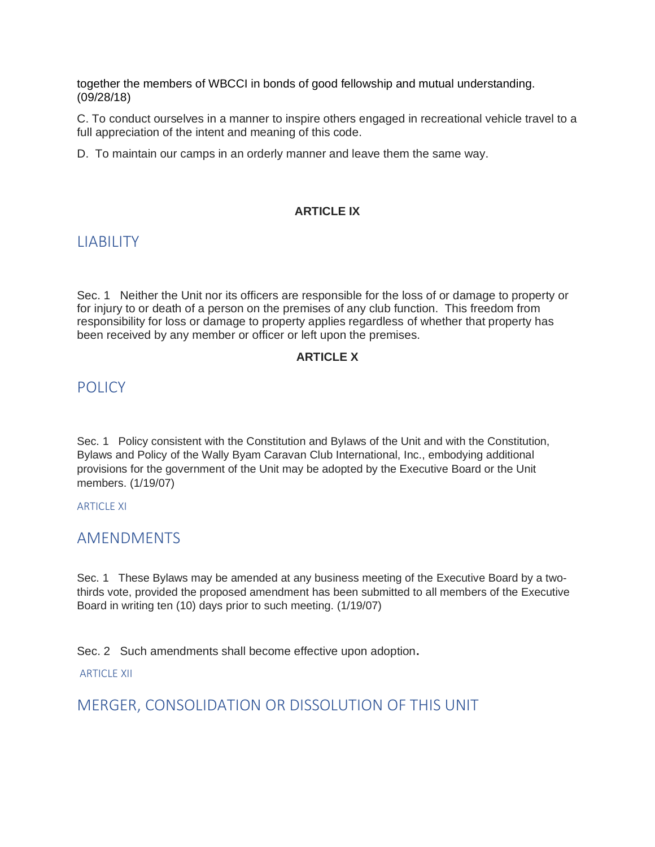together the members of WBCCI in bonds of good fellowship and mutual understanding. (09/28/18)

C. To conduct ourselves in a manner to inspire others engaged in recreational vehicle travel to a full appreciation of the intent and meaning of this code.

D. To maintain our camps in an orderly manner and leave them the same way.

#### **ARTICLE IX**

## LIABILITY

Sec. 1 Neither the Unit nor its officers are responsible for the loss of or damage to property or for injury to or death of a person on the premises of any club function. This freedom from responsibility for loss or damage to property applies regardless of whether that property has been received by any member or officer or left upon the premises.

#### **ARTICLE X**

#### POLICY<sub></sub>

Sec. 1 Policy consistent with the Constitution and Bylaws of the Unit and with the Constitution, Bylaws and Policy of the Wally Byam Caravan Club International, Inc., embodying additional provisions for the government of the Unit may be adopted by the Executive Board or the Unit members. (1/19/07)

#### **ARTICLE XI**

### AMENDMENTS

Sec. 1 These Bylaws may be amended at any business meeting of the Executive Board by a twothirds vote, provided the proposed amendment has been submitted to all members of the Executive Board in writing ten (10) days prior to such meeting. (1/19/07)

Sec. 2 Such amendments shall become effective upon adoption**.**

ARTICLE XII

MERGER, CONSOLIDATION OR DISSOLUTION OF THIS UNIT